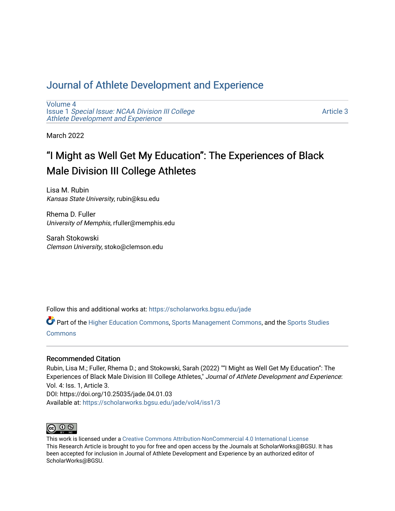# [Journal of Athlete Development and Experience](https://scholarworks.bgsu.edu/jade)

[Volume 4](https://scholarworks.bgsu.edu/jade/vol4) Issue 1 [Special Issue: NCAA Division III College](https://scholarworks.bgsu.edu/jade/vol4/iss1) [Athlete Development and Experience](https://scholarworks.bgsu.edu/jade/vol4/iss1) 

[Article 3](https://scholarworks.bgsu.edu/jade/vol4/iss1/3) 

March 2022

# "I Might as Well Get My Education": The Experiences of Black Male Division III College Athletes

Lisa M. Rubin Kansas State University, rubin@ksu.edu

Rhema D. Fuller University of Memphis, rfuller@memphis.edu

Sarah Stokowski Clemson University, stoko@clemson.edu

Follow this and additional works at: [https://scholarworks.bgsu.edu/jade](https://scholarworks.bgsu.edu/jade?utm_source=scholarworks.bgsu.edu%2Fjade%2Fvol4%2Fiss1%2F3&utm_medium=PDF&utm_campaign=PDFCoverPages) 

Part of the [Higher Education Commons,](http://network.bepress.com/hgg/discipline/1245?utm_source=scholarworks.bgsu.edu%2Fjade%2Fvol4%2Fiss1%2F3&utm_medium=PDF&utm_campaign=PDFCoverPages) [Sports Management Commons,](http://network.bepress.com/hgg/discipline/1193?utm_source=scholarworks.bgsu.edu%2Fjade%2Fvol4%2Fiss1%2F3&utm_medium=PDF&utm_campaign=PDFCoverPages) and the [Sports Studies](http://network.bepress.com/hgg/discipline/1198?utm_source=scholarworks.bgsu.edu%2Fjade%2Fvol4%2Fiss1%2F3&utm_medium=PDF&utm_campaign=PDFCoverPages)  [Commons](http://network.bepress.com/hgg/discipline/1198?utm_source=scholarworks.bgsu.edu%2Fjade%2Fvol4%2Fiss1%2F3&utm_medium=PDF&utm_campaign=PDFCoverPages)

# Recommended Citation

Rubin, Lisa M.; Fuller, Rhema D.; and Stokowski, Sarah (2022) ""I Might as Well Get My Education": The Experiences of Black Male Division III College Athletes," Journal of Athlete Development and Experience: Vol. 4: Iss. 1, Article 3. DOI: https://doi.org/10.25035/jade.04.01.03 Available at: [https://scholarworks.bgsu.edu/jade/vol4/iss1/3](https://scholarworks.bgsu.edu/jade/vol4/iss1/3?utm_source=scholarworks.bgsu.edu%2Fjade%2Fvol4%2Fiss1%2F3&utm_medium=PDF&utm_campaign=PDFCoverPages) 



This work is licensed under a [Creative Commons Attribution-NonCommercial 4.0 International License](https://creativecommons.org/licenses/by-nc/4.0/) This Research Article is brought to you for free and open access by the Journals at ScholarWorks@BGSU. It has been accepted for inclusion in Journal of Athlete Development and Experience by an authorized editor of ScholarWorks@BGSU.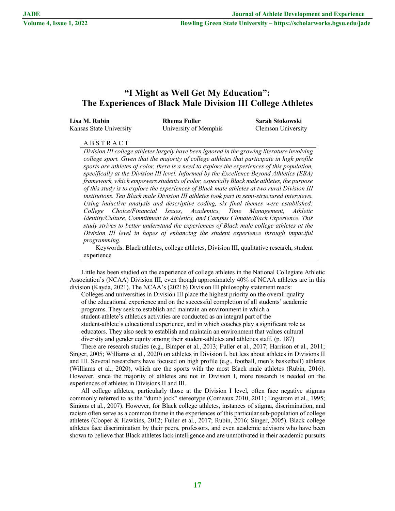# **"I Might as Well Get My Education": The Experiences of Black Male Division III College Athletes**

| Lisa M. Rubin           | Rhema Fuller          | Sarah Stokowski    |
|-------------------------|-----------------------|--------------------|
| Kansas State University | University of Memphis | Clemson University |

# A B S T R A C T

*Division III college athletes largely have been ignored in the growing literature involving college sport. Given that the majority of college athletes that participate in high profile sports are athletes of color, there is a need to explore the experiences of this population, specifically at the Division III level. Informed by the Excellence Beyond Athletics (EBA) framework, which empowers students of color, especially Black male athletes, the purpose of this study is to explore the experiences of Black male athletes at two rural Division III institutions. Ten Black male Division III athletes took part in semi-structured interviews. Using inductive analysis and descriptive coding, six final themes were established: College Choice/Financial Issues, Academics, Time Management, Athletic Identity/Culture, Commitment to Athletics, and Campus Climate/Black Experience. This study strives to better understand the experiences of Black male college athletes at the Division III level in hopes of enhancing the student experience through impactful programming.*

Keywords: Black athletes, college athletes, Division III, qualitative research, student experience

Little has been studied on the experience of college athletes in the National Collegiate Athletic Association's (NCAA) Division III, even though approximately 40% of NCAA athletes are in this division (Kayda, 2021). The NCAA's (2021b) Division III philosophy statement reads:

Colleges and universities in Division III place the highest priority on the overall quality of the educational experience and on the successful completion of all students' academic programs. They seek to establish and maintain an environment in which a student-athlete's athletics activities are conducted as an integral part of the student-athlete's educational experience, and in which coaches play a significant role as educators. They also seek to establish and maintain an environment that values cultural diversity and gender equity among their student-athletes and athletics staff. (p. 187)

There are research studies (e.g., Bimper et al., 2013; Fuller et al., 2017; Harrison et al., 2011; Singer, 2005; Williams et al., 2020) on athletes in Division I, but less about athletes in Divisions II and III. Several researchers have focused on high profile (e.g., football, men's basketball) athletes (Williams et al., 2020), which are the sports with the most Black male athletes (Rubin, 2016). However, since the majority of athletes are not in Division I, more research is needed on the experiences of athletes in Divisions II and III.

All college athletes, particularly those at the Division I level, often face negative stigmas commonly referred to as the "dumb jock" stereotype (Comeaux 2010, 2011; Engstrom et al., 1995; Simons et al., 2007). However, for Black college athletes, instances of stigma, discrimination, and racism often serve as a common theme in the experiences of this particular sub-population of college athletes (Cooper & Hawkins, 2012; Fuller et al., 2017; Rubin, 2016; Singer, 2005). Black college athletes face discrimination by their peers, professors, and even academic advisors who have been shown to believe that Black athletes lack intelligence and are unmotivated in their academic pursuits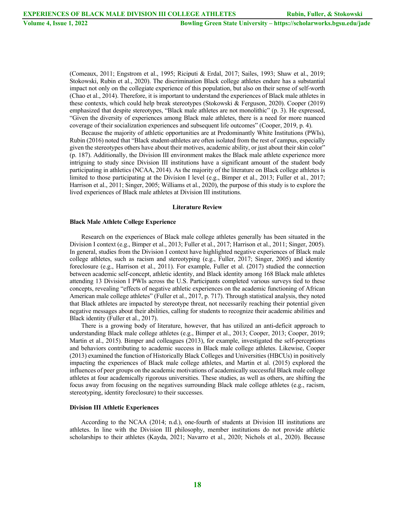(Comeaux, 2011; Engstrom et al., 1995; Riciputi & Erdal, 2017; Sailes, 1993; Shaw et al., 2019; Stokowski, Rubin et al., 2020). The discrimination Black college athletes endure has a substantial impact not only on the collegiate experience of this population, but also on their sense of self-worth (Chao et al., 2014). Therefore, it is important to understand the experiences of Black male athletes in these contexts, which could help break stereotypes (Stokowski & Ferguson, 2020). Cooper (2019) emphasized that despite stereotypes, "Black male athletes are not monolithic" (p. 3). He expressed, "Given the diversity of experiences among Black male athletes, there is a need for more nuanced coverage of their socialization experiences and subsequent life outcomes" (Cooper, 2019, p. 4).

Because the majority of athletic opportunities are at Predominantly White Institutions (PWIs), Rubin (2016) noted that "Black student-athletes are often isolated from the rest of campus, especially given the stereotypes others have about their motives, academic ability, or just about their skin color" (p. 187). Additionally, the Division III environment makes the Black male athlete experience more intriguing to study since Division III institutions have a significant amount of the student body participating in athletics (NCAA, 2014). As the majority of the literature on Black college athletes is limited to those participating at the Division I level (e.g., Bimper et al., 2013; Fuller et al., 2017; Harrison et al., 2011; Singer, 2005; Williams et al., 2020), the purpose of this study is to explore the lived experiences of Black male athletes at Division III institutions.

#### **Literature Review**

#### **Black Male Athlete College Experience**

Research on the experiences of Black male college athletes generally has been situated in the Division I context (e.g., Bimper et al., 2013; Fuller et al., 2017; Harrison et al., 2011; Singer, 2005). In general, studies from the Division I context have highlighted negative experiences of Black male college athletes, such as racism and stereotyping (e.g., Fuller, 2017; Singer, 2005) and identity foreclosure (e.g., Harrison et al., 2011). For example, Fuller et al. (2017) studied the connection between academic self-concept, athletic identity, and Black identity among 168 Black male athletes attending 13 Division I PWIs across the U.S. Participants completed various surveys tied to these concepts, revealing "effects of negative athletic experiences on the academic functioning of African American male college athletes" (Fuller et al., 2017, p. 717). Through statistical analysis, they noted that Black athletes are impacted by stereotype threat, not necessarily reaching their potential given negative messages about their abilities, calling for students to recognize their academic abilities and Black identity (Fuller et al., 2017).

There is a growing body of literature, however, that has utilized an anti-deficit approach to understanding Black male college athletes (e.g., Bimper et al., 2013; Cooper, 2013; Cooper, 2019; Martin et al., 2015). Bimper and colleagues (2013), for example, investigated the self-perceptions and behaviors contributing to academic success in Black male college athletes. Likewise, Cooper (2013) examined the function of Historically Black Colleges and Universities (HBCUs) in positively impacting the experiences of Black male college athletes, and Martin et al. (2015) explored the influences of peer groups on the academic motivations of academically successful Black male college athletes at four academically rigorous universities. These studies, as well as others, are shifting the focus away from focusing on the negatives surrounding Black male college athletes (e.g., racism, stereotyping, identity foreclosure) to their successes.

#### **Division III Athletic Experiences**

According to the NCAA (2014; n.d.), one-fourth of students at Division III institutions are athletes. In line with the Division III philosophy, member institutions do not provide athletic scholarships to their athletes (Kayda, 2021; Navarro et al., 2020; Nichols et al., 2020). Because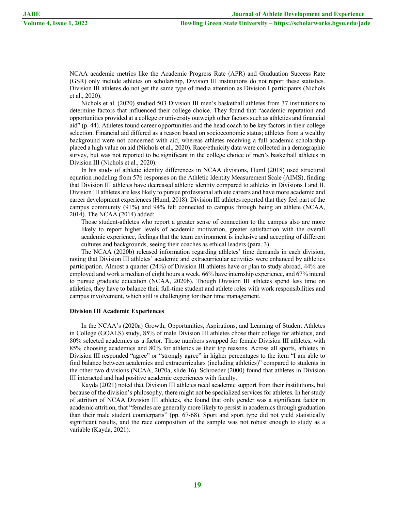NCAA academic metrics like the Academic Progress Rate (APR) and Graduation Success Rate (GSR) only include athletes on scholarship, Division III institutions do not report these statistics. Division III athletes do not get the same type of media attention as Division I participants (Nichols et al., 2020).

Nichols et al. (2020) studied 503 Division III men's basketball athletes from 37 institutions to determine factors that influenced their college choice. They found that "academic reputation and opportunities provided at a college or university outweigh other factors such as athletics and financial aid" (p. 44). Athletes found career opportunities and the head coach to be key factors in their college selection. Financial aid differed as a reason based on socioeconomic status; athletes from a wealthy background were not concerned with aid, whereas athletes receiving a full academic scholarship placed a high value on aid (Nichols et al., 2020). Race/ethnicity data were collected in a demographic survey, but was not reported to be significant in the college choice of men's basketball athletes in Division III (Nichols et al., 2020).

In his study of athletic identity differences in NCAA divisions, Huml (2018) used structural equation modeling from 576 responses on the Athletic Identity Measurement Scale (AIMS), finding that Division III athletes have decreased athletic identity compared to athletes in Divisions I and II. Division III athletes are less likely to pursue professional athlete careers and have more academic and career development experiences (Huml, 2018). Division III athletes reported that they feel part of the campus community (91%) and 94% felt connected to campus through being an athlete (NCAA, 2014). The NCAA (2014) added:

Those student-athletes who report a greater sense of connection to the campus also are more likely to report higher levels of academic motivation, greater satisfaction with the overall academic experience, feelings that the team environment is inclusive and accepting of different cultures and backgrounds, seeing their coaches as ethical leaders (para. 3).

The NCAA (2020b) released information regarding athletes' time demands in each division, noting that Division III athletes' academic and extracurricular activities were enhanced by athletics participation. Almost a quarter (24%) of Division III athletes have or plan to study abroad, 44% are employed and work a median of eight hours a week, 66% have internship experience, and 67% intend to pursue graduate education (NCAA, 2020b). Though Division III athletes spend less time on athletics, they have to balance their full-time student and athlete roles with work responsibilities and campus involvement, which still is challenging for their time management.

## **Division III Academic Experiences**

In the NCAA's (2020a) Growth, Opportunities, Aspirations, and Learning of Student Athletes in College (GOALS) study, 85% of male Division III athletes chose their college for athletics, and 80% selected academics as a factor. Those numbers swapped for female Division III athletes, with 85% choosing academics and 80% for athletics as their top reasons. Across all sports, athletes in Division III responded "agree" or "strongly agree" in higher percentages to the item "I am able to find balance between academics and extracurriculars (including athletics)" compared to students in the other two divisions (NCAA, 2020a, slide 16). Schroeder (2000) found that athletes in Division III interacted and had positive academic experiences with faculty.

Kayda (2021) noted that Division III athletes need academic support from their institutions, but because of the division's philosophy, there might not be specialized services for athletes. In her study of attrition of NCAA Division III athletes, she found that only gender was a significant factor in academic attrition, that "females are generally more likely to persist in academics through graduation than their male student counterparts" (pp. 67-68). Sport and sport type did not yield statistically significant results, and the race composition of the sample was not robust enough to study as a variable (Kayda, 2021).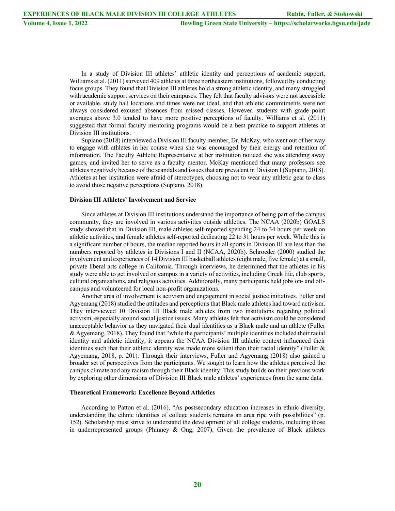In a study of Division III athletes' athletic identity and perceptions of academic support, Williams et al. (2011) surveyed 409 athletes at three northeastern institutions, followed by conducting focus groups. They found that Division III athletes hold a strong athletic identity, and many struggled with academic support services on their campuses. They felt that faculty advisors were not accessible or available, study hall locations and times were not ideal, and that athletic commitments were not always considered excused absences from missed classes. However, students with grade point averages above 3.0 tended to have more positive perceptions of faculty. Williams et al. (2011) suggested that formal faculty mentoring programs would be a best practice to support athletes at Division III institutions.

Supiano (2018) interviewed a Division III faculty member, Dr. McKay, who went out of her way to engage with athletes in her course when she was encouraged by their energy and retention of information. The Faculty Athletic Representative at her institution noticed she was attending away games, and invited her to serve as a faculty mentor. McKay mentioned that many professors see athletes negatively because of the scandals and issues that are prevalent in Division I (Supiano, 2018). Athletes at her institution were afraid of stereotypes, choosing not to wear any athletic gear to class to avoid those negative perceptions (Supiano, 2018).

#### **Division III Athletes' Involvement and Service**

Since athletes at Division III institutions understand the importance of being part of the campus community, they are involved in various activities outside athletics. The NCAA (2020b) GOALS study showed that in Division III, male athletes self-reported spending 24 to 34 hours per week on athletic activities, and female athletes self-reported dedicating 22 to 31 hours per week. While this is a significant number of hours, the median reported hours in all sports in Division III are less than the numbers reported by athletes in Divisions I and II (NCAA, 2020b). Schroeder (2000) studied the involvement and experiences of 14 Division III basketball athletes (eight male, five female) at a small, private liberal arts college in California. Through interviews, he determined that the athletes in his study were able to get involved on campus in a variety of activities, including Greek life, club sports, cultural organizations, and religious activities. Additionally, many participants held jobs on- and offcampus and volunteered for local non-profit organizations.

Another area of involvement is activism and engagement in social justice initiatives. Fuller and Agyemang (2018) studied the attitudes and perceptions that Black male athletes had toward activism. They interviewed 10 Division III Black male athletes from two institutions regarding political activism, especially around social justice issues. Many athletes felt that activism could be considered unacceptable behavior as they navigated their dual identities as a Black male and an athlete (Fuller & Agyemang, 2018). They found that "while the participants' multiple identities included their racial identity and athletic identity, it appears the NCAA Division III athletic context influenced their identities such that their athletic identity was made more salient than their racial identity" (Fuller & Agyemang, 2018, p. 201). Through their interviews, Fuller and Agyemang (2018) also gained a broader set of perspectives from the participants. We sought to learn how the athletes perceived the campus climate and any racism through their Black identity. This study builds on their previous work by exploring other dimensions of Division III Black male athletes' experiences from the same data.

#### **Theoretical Framework: Excellence Beyond Athletics**

According to Patton et al. (2016), "As postsecondary education increases in ethnic diversity, understanding the ethnic identities of college students remains an area ripe with possibilities" (p. 152). Scholarship must strive to understand the development of all college students, including those in underrepresented groups (Phinney & Ong, 2007). Given the prevalence of Black athletes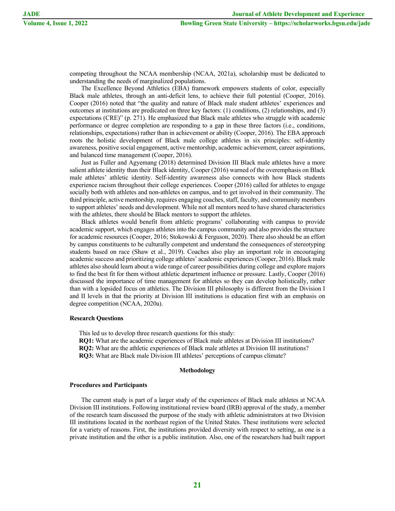competing throughout the NCAA membership (NCAA, 2021a), scholarship must be dedicated to understanding the needs of marginalized populations.

The Excellence Beyond Athletics (EBA) framework empowers students of color, especially Black male athletes, through an anti-deficit lens, to achieve their full potential (Cooper, 2016). Cooper (2016) noted that "the quality and nature of Black male student athletes' experiences and outcomes at institutions are predicated on three key factors: (1) conditions, (2) relationships, and (3) expectations (CRE)" (p. 271). He emphasized that Black male athletes who struggle with academic performance or degree completion are responding to a gap in these three factors (i.e., conditions, relationships, expectations) rather than in achievement or ability (Cooper, 2016). The EBA approach roots the holistic development of Black male college athletes in six principles: self-identity awareness, positive social engagement, active mentorship, academic achievement, career aspirations, and balanced time management (Cooper, 2016).

Just as Fuller and Agyemang (2018) determined Division III Black male athletes have a more salient athlete identity than their Black identity, Cooper (2016) warned of the overemphasis on Black male athletes' athletic identity. Self-identity awareness also connects with how Black students experience racism throughout their college experiences. Cooper (2016) called for athletes to engage socially both with athletes and non-athletes on campus, and to get involved in their community. The third principle, active mentorship, requires engaging coaches, staff, faculty, and community members to support athletes' needs and development. While not all mentors need to have shared characteristics with the athletes, there should be Black mentors to support the athletes.

Black athletes would benefit from athletic programs' collaborating with campus to provide academic support, which engages athletes into the campus community and also provides the structure for academic resources (Cooper, 2016; Stokowski & Ferguson, 2020). There also should be an effort by campus constituents to be culturally competent and understand the consequences of stereotyping students based on race (Shaw et al., 2019). Coaches also play an important role in encouraging academic success and prioritizing college athletes' academic experiences (Cooper, 2016). Black male athletes also should learn about a wide range of career possibilities during college and explore majors to find the best fit for them without athletic department influence or pressure. Lastly, Cooper (2016) discussed the importance of time management for athletes so they can develop holistically, rather than with a lopsided focus on athletics. The Division III philosophy is different from the Division I and II levels in that the priority at Division III institutions is education first with an emphasis on degree competition (NCAA, 2020a).

# **Research Questions**

This led us to develop three research questions for this study:

**RQ1:** What are the academic experiences of Black male athletes at Division III institutions? **RQ2:** What are the athletic experiences of Black male athletes at Division III institutions?

**RQ3:** What are Black male Division III athletes' perceptions of campus climate?

# **Methodology**

## **Procedures and Participants**

The current study is part of a larger study of the experiences of Black male athletes at NCAA Division III institutions. Following institutional review board (IRB) approval of the study, a member of the research team discussed the purpose of the study with athletic administrators at two Division III institutions located in the northeast region of the United States. These institutions were selected for a variety of reasons. First, the institutions provided diversity with respect to setting, as one is a private institution and the other is a public institution. Also, one of the researchers had built rapport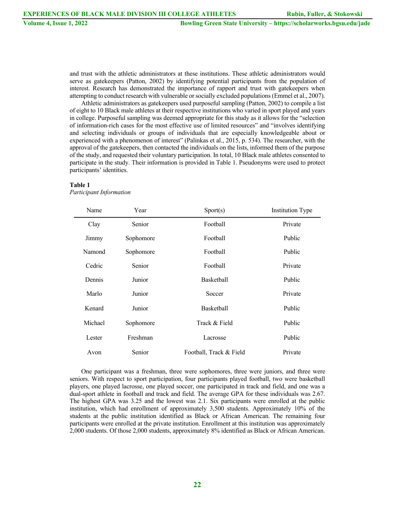and trust with the athletic administrators at these institutions. These athletic administrators would serve as gatekeepers (Patton, 2002) by identifying potential participants from the population of interest. Research has demonstrated the importance of rapport and trust with gatekeepers when attempting to conduct research with vulnerable or socially excluded populations (Emmel et al., 2007).

Athletic administrators as gatekeepers used purposeful sampling (Patton, 2002) to compile a list of eight to 10 Black male athletes at their respective institutions who varied in sport played and years in college. Purposeful sampling was deemed appropriate for this study as it allows for the "selection of information-rich cases for the most effective use of limited resources" and "involves identifying and selecting individuals or groups of individuals that are especially knowledgeable about or experienced with a phenomenon of interest" (Palinkas et al., 2015, p. 534). The researcher, with the approval of the gatekeepers, then contacted the individuals on the lists, informed them of the purpose of the study, and requested their voluntary participation. In total, 10 Black male athletes consented to participate in the study. Their information is provided in Table 1. Pseudonyms were used to protect participants' identities.

# **Table 1**

*Participant Information*

| Name    | Year      | Sports)                 | <b>Institution Type</b> |
|---------|-----------|-------------------------|-------------------------|
| Clay    | Senior    | Football                | Private                 |
| Jimmy   | Sophomore | Football                | Public                  |
| Namond  | Sophomore | Football                | Public                  |
| Cedric  | Senior    | Football                | Private                 |
| Dennis  | Junior    | Basketball              | Public                  |
| Marlo   | Junior    | Soccer                  | Private                 |
| Kenard  | Junior    | Basketball              | Public                  |
| Michael | Sophomore | Track & Field           | Public                  |
| Lester  | Freshman  | Lacrosse                | Public                  |
| Avon    | Senior    | Football, Track & Field | Private                 |

One participant was a freshman, three were sophomores, three were juniors, and three were seniors. With respect to sport participation, four participants played football, two were basketball players, one played lacrosse, one played soccer, one participated in track and field, and one was a dual-sport athlete in football and track and field. The average GPA for these individuals was 2.67. The highest GPA was 3.25 and the lowest was 2.1. Six participants were enrolled at the public institution, which had enrollment of approximately 3,500 students. Approximately 10% of the students at the public institution identified as Black or African American. The remaining four participants were enrolled at the private institution. Enrollment at this institution was approximately 2,000 students. Of those 2,000 students, approximately 8% identified as Black or African American.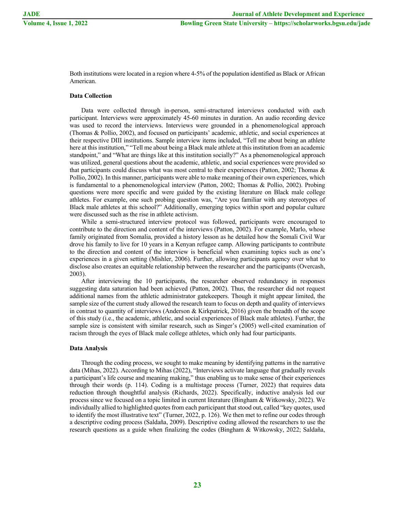Both institutions were located in a region where 4-5% of the population identified as Black or African American.

# **Data Collection**

Data were collected through in-person, semi-structured interviews conducted with each participant. Interviews were approximately 45-60 minutes in duration. An audio recording device was used to record the interviews. Interviews were grounded in a phenomenological approach (Thomas & Pollio, 2002), and focused on participants' academic, athletic, and social experiences at their respective DIII institutions. Sample interview items included, "Tell me about being an athlete here at this institution," "Tell me about being a Black male athlete at this institution from an academic standpoint," and "What are things like at this institution socially?" As a phenomenological approach was utilized, general questions about the academic, athletic, and social experiences were provided so that participants could discuss what was most central to their experiences (Patton, 2002; Thomas & Pollio, 2002). In this manner, participants were able to make meaning of their own experiences, which is fundamental to a phenomenological interview (Patton, 2002; Thomas & Pollio, 2002). Probing questions were more specific and were guided by the existing literature on Black male college athletes. For example, one such probing question was, "Are you familiar with any stereotypes of Black male athletes at this school?" Additionally, emerging topics within sport and popular culture were discussed such as the rise in athlete activism.

While a semi-structured interview protocol was followed, participants were encouraged to contribute to the direction and content of the interviews (Patton, 2002). For example, Marlo, whose family originated from Somalia, provided a history lesson as he detailed how the Somali Civil War drove his family to live for 10 years in a Kenyan refugee camp. Allowing participants to contribute to the direction and content of the interview is beneficial when examining topics such as one's experiences in a given setting (Mishler, 2006). Further, allowing participants agency over what to disclose also creates an equitable relationship between the researcher and the participants (Overcash, 2003).

After interviewing the 10 participants, the researcher observed redundancy in responses suggesting data saturation had been achieved (Patton, 2002). Thus, the researcher did not request additional names from the athletic administrator gatekeepers. Though it might appear limited, the sample size of the current study allowed the research team to focus on depth and quality of interviews in contrast to quantity of interviews (Anderson & Kirkpatrick, 2016) given the breadth of the scope of this study (i.e., the academic, athletic, and social experiences of Black male athletes). Further, the sample size is consistent with similar research, such as Singer's (2005) well-cited examination of racism through the eyes of Black male college athletes, which only had four participants.

## **Data Analysis**

Through the coding process, we sought to make meaning by identifying patterns in the narrative data (Mihas, 2022). According to Mihas (2022), "Interviews activate language that gradually reveals a participant's life course and meaning making," thus enabling us to make sense of their experiences through their words (p. 114). Coding is a multistage process (Turner, 2022) that requires data reduction through thoughtful analysis (Richards, 2022). Specifically, inductive analysis led our process since we focused on a topic limited in current literature (Bingham & Witkowsky, 2022). We individually allied to highlighted quotes from each participant that stood out, called "key quotes, used to identify the most illustrative text" (Turner, 2022, p. 126). We then met to refine our codes through a descriptive coding process (Saldaña, 2009). Descriptive coding allowed the researchers to use the research questions as a guide when finalizing the codes (Bingham & Witkowsky, 2022; Saldaña,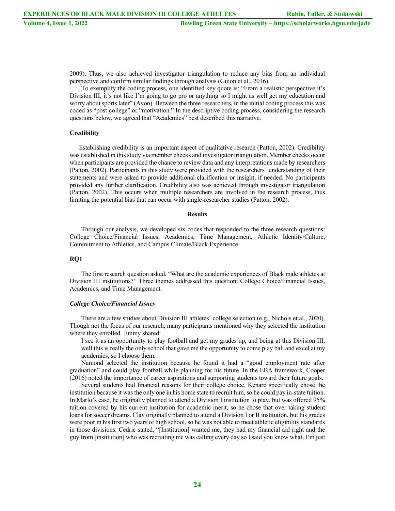2009). Thus, we also achieved investigator triangulation to reduce any bias from an individual perspective and confirm similar findings through analysis (Guion et al., 2016).

To exemplify the coding process, one identified key quote is: "From a realistic perspective it's Division III, it's not like I'm going to go pro or anything so I might as well get my education and worry about sports later" (Avon). Between the three researchers, in the initial coding process this was coded as "post-college" or "motivation." In the descriptive coding process, considering the research questions below, we agreed that "Academics" best described this narrative.

# **Credibility**

Establishing credibility is an important aspect of qualitative research (Patton, 2002). Credibility was established in this study via member checks and investigator triangulation. Member checks occur when participants are provided the chance to review data and any interpretations made by researchers (Patton, 2002). Participants in this study were provided with the researchers' understanding of their statements and were asked to provide additional clarification or insight, if needed. No participants provided any further clarification. Credibility also was achieved through investigator triangulation (Patton, 2002). This occurs when multiple researchers are involved in the research process, thus limiting the potential bias that can occur with single-researcher studies (Patton, 2002).

#### **Results**

Through our analysis, we developed six codes that responded to the three research questions: College Choice/Financial Issues, Academics, Time Management, Athletic Identity/Culture, Commitment to Athletics, and Campus Climate/Black Experience.

# **RQ1**

The first research question asked, "What are the academic experiences of Black male athletes at Division III institutions?" Three themes addressed this question: College Choice/Financial Issues, Academics, and Time Management.

#### *College Choice/Financial Issues*

There are a few studies about Division III athletes' college selection (e.g., Nichols et al., 2020). Though not the focus of our research, many participants mentioned why they selected the institution where they enrolled. Jimmy shared:

I see it as an opportunity to play football and get my grades up, and being at this Division III, well this is really the only school that gave me the opportunity to come play ball and excel at my academics, so I choose them.

Namond selected the institution because he found it had a "good employment rate after graduation" and could play football while planning for his future. In the EBA framework, Cooper (2016) noted the importance of career aspirations and supporting students toward their future goals.

Several students had financial reasons for their college choice. Kenard specifically chose the institution because it was the only one in his home state to recruit him, so he could pay in-state tuition. In Marlo's case, he originally planned to attend a Division I institution to play, but was offered 95% tuition covered by his current institution for academic merit, so he chose that over taking student loans for soccer dreams. Clay originally planned to attend a Division I or II institution, but his grades were poor in his first two years of high school, so he was not able to meet athletic eligibility standards in those divisions. Cedric stated, "[Institution] wanted me, they had my financial aid right and the guy from [institution] who was recruiting me was calling every day so I said you know what, I'm just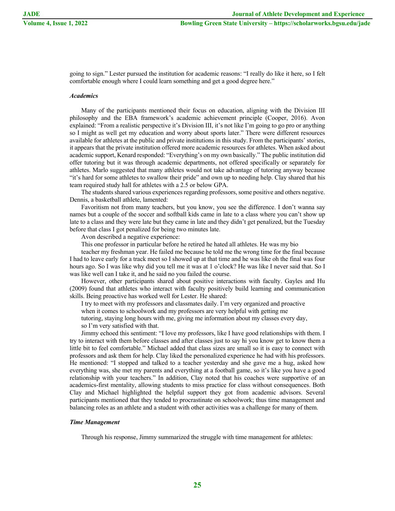going to sign." Lester pursued the institution for academic reasons: "I really do like it here, so I felt comfortable enough where I could learn something and get a good degree here."

#### *Academics*

Many of the participants mentioned their focus on education, aligning with the Division III philosophy and the EBA framework's academic achievement principle (Cooper, 2016). Avon explained: "From a realistic perspective it's Division III, it's not like I'm going to go pro or anything so I might as well get my education and worry about sports later." There were different resources available for athletes at the public and private institutions in this study. From the participants' stories, it appears that the private institution offered more academic resources for athletes. When asked about academic support, Kenard responded: "Everything's on my own basically." The public institution did offer tutoring but it was through academic departments, not offered specifically or separately for athletes. Marlo suggested that many athletes would not take advantage of tutoring anyway because "it's hard for some athletes to swallow their pride" and own up to needing help. Clay shared that his team required study hall for athletes with a 2.5 or below GPA.

The students shared various experiences regarding professors, some positive and others negative. Dennis, a basketball athlete, lamented:

Favoritism not from many teachers, but you know, you see the difference. I don't wanna say names but a couple of the soccer and softball kids came in late to a class where you can't show up late to a class and they were late but they came in late and they didn't get penalized, but the Tuesday before that class I got penalized for being two minutes late.

Avon described a negative experience:

This one professor in particular before he retired he hated all athletes. He was my bio

teacher my freshman year. He failed me because he told me the wrong time for the final because I had to leave early for a track meet so I showed up at that time and he was like oh the final was four hours ago. So I was like why did you tell me it was at 1 o'clock? He was like I never said that. So I was like well can I take it, and he said no you failed the course.

However, other participants shared about positive interactions with faculty. Gayles and Hu (2009) found that athletes who interact with faculty positively build learning and communication skills. Being proactive has worked well for Lester. He shared:

I try to meet with my professors and classmates daily. I'm very organized and proactive

when it comes to schoolwork and my professors are very helpful with getting me

tutoring, staying long hours with me, giving me information about my classes every day, so I'm very satisfied with that.

Jimmy echoed this sentiment: "I love my professors, like I have good relationships with them. I try to interact with them before classes and after classes just to say hi you know get to know them a little bit to feel comfortable." Michael added that class sizes are small so it is easy to connect with professors and ask them for help. Clay liked the personalized experience he had with his professors. He mentioned: "I stopped and talked to a teacher yesterday and she gave me a hug, asked how everything was, she met my parents and everything at a football game, so it's like you have a good relationship with your teachers." In addition, Clay noted that his coaches were supportive of an academics-first mentality, allowing students to miss practice for class without consequences. Both Clay and Michael highlighted the helpful support they got from academic advisors. Several participants mentioned that they tended to procrastinate on schoolwork; thus time management and balancing roles as an athlete and a student with other activities was a challenge for many of them.

# *Time Management*

Through his response, Jimmy summarized the struggle with time management for athletes: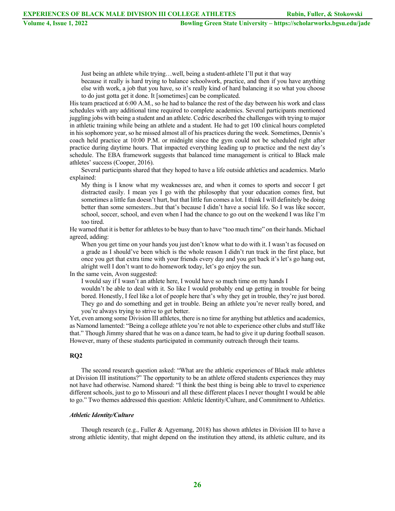Just being an athlete while trying…well, being a student-athlete I'll put it that way

because it really is hard trying to balance schoolwork, practice, and then if you have anything else with work, a job that you have, so it's really kind of hard balancing it so what you choose to do just gotta get it done. It [sometimes] can be complicated.

His team practiced at 6:00 A.M., so he had to balance the rest of the day between his work and class schedules with any additional time required to complete academics. Several participants mentioned juggling jobs with being a student and an athlete. Cedric described the challenges with trying to major in athletic training while being an athlete and a student. He had to get 100 clinical hours completed in his sophomore year, so he missed almost all of his practices during the week. Sometimes, Dennis's coach held practice at 10:00 P.M. or midnight since the gym could not be scheduled right after practice during daytime hours. That impacted everything leading up to practice and the next day's schedule. The EBA framework suggests that balanced time management is critical to Black male athletes' success (Cooper, 2016).

Several participants shared that they hoped to have a life outside athletics and academics. Marlo explained:

My thing is I know what my weaknesses are, and when it comes to sports and soccer I get distracted easily. I mean yes I go with the philosophy that your education comes first, but sometimes a little fun doesn't hurt, but that little fun comes a lot. I think I will definitely be doing better than some semesters...but that's because I didn't have a social life. So I was like soccer, school, soccer, school, and even when I had the chance to go out on the weekend I was like I'm too tired.

He warned that it is better for athletes to be busy than to have "too much time" on their hands. Michael agreed, adding:

When you get time on your hands you just don't know what to do with it. I wasn't as focused on a grade as I should've been which is the whole reason I didn't run track in the first place, but once you get that extra time with your friends every day and you get back it's let's go hang out, alright well I don't want to do homework today, let's go enjoy the sun.

In the same vein, Avon suggested:

I would say if I wasn't an athlete here, I would have so much time on my hands I

wouldn't be able to deal with it. So like I would probably end up getting in trouble for being bored. Honestly, I feel like a lot of people here that's why they get in trouble, they're just bored. They go and do something and get in trouble. Being an athlete you're never really bored, and you're always trying to strive to get better.

Yet, even among some Division III athletes, there is no time for anything but athletics and academics, as Namond lamented: "Being a college athlete you're not able to experience other clubs and stuff like that." Though Jimmy shared that he was on a dance team, he had to give it up during football season. However, many of these students participated in community outreach through their teams.

## **RQ2**

The second research question asked: "What are the athletic experiences of Black male athletes at Division III institutions?" The opportunity to be an athlete offered students experiences they may not have had otherwise. Namond shared: "I think the best thing is being able to travel to experience different schools, just to go to Missouri and all these different places I never thought I would be able to go." Two themes addressed this question: Athletic Identity/Culture, and Commitment to Athletics.

# *Athletic Identity/Culture*

Though research (e.g., Fuller & Agyemang, 2018) has shown athletes in Division III to have a strong athletic identity, that might depend on the institution they attend, its athletic culture, and its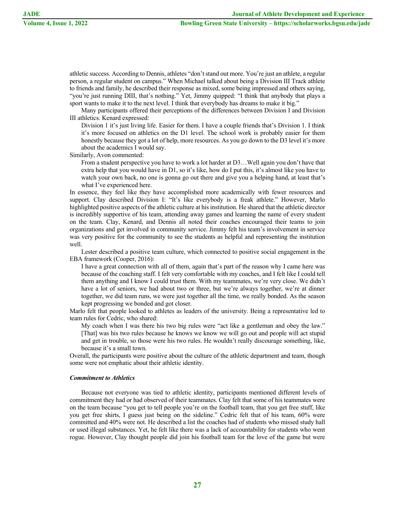athletic success. According to Dennis, athletes "don't stand out more. You're just an athlete, a regular person, a regular student on campus." When Michael talked about being a Division III Track athlete to friends and family, he described their response as mixed, some being impressed and others saying, "you're just running DIII, that's nothing." Yet, Jimmy quipped: "I think that anybody that plays a sport wants to make it to the next level. I think that everybody has dreams to make it big."

Many participants offered their perceptions of the differences between Division I and Division III athletics. Kenard expressed:

Division 1 it's just living life. Easier for them. I have a couple friends that's Division 1. I think it's more focused on athletics on the D1 level. The school work is probably easier for them honestly because they got a lot of help, more resources. As you go down to the D3 level it's more about the academics I would say.

Similarly, Avon commented:

From a student perspective you have to work a lot harder at D3…Well again you don't have that extra help that you would have in D1, so it's like, how do I put this, it's almost like you have to watch your own back, no one is gonna go out there and give you a helping hand, at least that's what I've experienced here.

In essence, they feel like they have accomplished more academically with fewer resources and support. Clay described Division I: "It's like everybody is a freak athlete." However, Marlo highlighted positive aspects of the athletic culture at his institution. He shared that the athletic director is incredibly supportive of his team, attending away games and learning the name of every student on the team. Clay, Kenard, and Dennis all noted their coaches encouraged their teams to join organizations and get involved in community service. Jimmy felt his team's involvement in service was very positive for the community to see the students as helpful and representing the institution well.

Lester described a positive team culture, which connected to positive social engagement in the EBA framework (Cooper, 2016):

I have a great connection with all of them, again that's part of the reason why I came here was because of the coaching staff. I felt very comfortable with my coaches, and I felt like I could tell them anything and I know I could trust them. With my teammates, we're very close. We didn't have a lot of seniors, we had about two or three, but we're always together, we're at dinner together, we did team runs, we were just together all the time, we really bonded. As the season kept progressing we bonded and got closer.

Marlo felt that people looked to athletes as leaders of the university. Being a representative led to team rules for Cedric, who shared:

My coach when I was there his two big rules were "act like a gentleman and obey the law." [That] was his two rules because he knows we know we will go out and people will act stupid and get in trouble, so those were his two rules. He wouldn't really discourage something, like, because it's a small town.

Overall, the participants were positive about the culture of the athletic department and team, though some were not emphatic about their athletic identity.

## *Commitment to Athletics*

Because not everyone was tied to athletic identity, participants mentioned different levels of commitment they had or had observed of their teammates. Clay felt that some of his teammates were on the team because "you get to tell people you're on the football team, that you get free stuff, like you get free shirts, I guess just being on the sideline." Cedric felt that of his team, 60% were committed and 40% were not. He described a list the coaches had of students who missed study hall or used illegal substances. Yet, he felt like there was a lack of accountability for students who went rogue. However, Clay thought people did join his football team for the love of the game but were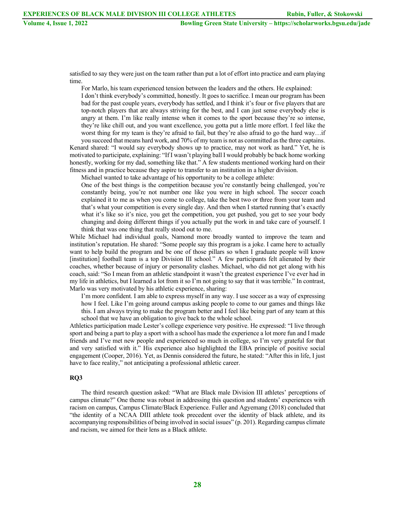satisfied to say they were just on the team rather than put a lot of effort into practice and earn playing time.

For Marlo, his team experienced tension between the leaders and the others. He explained:

I don't think everybody's committed, honestly. It goes to sacrifice. I mean our program has been bad for the past couple years, everybody has settled, and I think it's four or five players that are top-notch players that are always striving for the best, and I can just sense everybody else is angry at them. I'm like really intense when it comes to the sport because they're so intense, they're like chill out, and you want excellence, you gotta put a little more effort. I feel like the worst thing for my team is they're afraid to fail, but they're also afraid to go the hard way…if you succeed that means hard work, and 70% of my team is not as committed as the three captains.

Kenard shared: "I would say everybody shows up to practice, may not work as hard." Yet, he is motivated to participate, explaining: "If I wasn't playing ball I would probably be back home working honestly, working for my dad, something like that." A few students mentioned working hard on their fitness and in practice because they aspire to transfer to an institution in a higher division.

Michael wanted to take advantage of his opportunity to be a college athlete:

One of the best things is the competition because you're constantly being challenged, you're constantly being, you're not number one like you were in high school. The soccer coach explained it to me as when you come to college, take the best two or three from your team and that's what your competition is every single day. And then when I started running that's exactly what it's like so it's nice, you get the competition, you get pushed, you get to see your body changing and doing different things if you actually put the work in and take care of yourself. I think that was one thing that really stood out to me.

While Michael had individual goals, Namond more broadly wanted to improve the team and institution's reputation. He shared: "Some people say this program is a joke. I came here to actually want to help build the program and be one of those pillars so when I graduate people will know [institution] football team is a top Division III school." A few participants felt alienated by their coaches, whether because of injury or personality clashes. Michael, who did not get along with his coach, said: "So I mean from an athletic standpoint it wasn't the greatest experience I've ever had in my life in athletics, but I learned a lot from it so I'm not going to say that it was terrible." In contrast, Marlo was very motivated by his athletic experience, sharing:

I'm more confident. I am able to express myself in any way. I use soccer as a way of expressing how I feel. Like I'm going around campus asking people to come to our games and things like this. I am always trying to make the program better and I feel like being part of any team at this school that we have an obligation to give back to the whole school.

Athletics participation made Lester's college experience very positive. He expressed: "I live through sport and being a part to play a sport with a school has made the experience a lot more fun and I made friends and I've met new people and experienced so much in college, so I'm very grateful for that and very satisfied with it." His experience also highlighted the EBA principle of positive social engagement (Cooper, 2016). Yet, as Dennis considered the future, he stated: "After this in life, I just have to face reality," not anticipating a professional athletic career.

# **RQ3**

The third research question asked: "What are Black male Division III athletes' perceptions of campus climate?" One theme was robust in addressing this question and students' experiences with racism on campus, Campus Climate/Black Experience. Fuller and Agyemang (2018) concluded that "the identity of a NCAA DIII athlete took precedent over the identity of black athlete, and its accompanying responsibilities of being involved in social issues" (p. 201). Regarding campus climate and racism, we aimed for their lens as a Black athlete.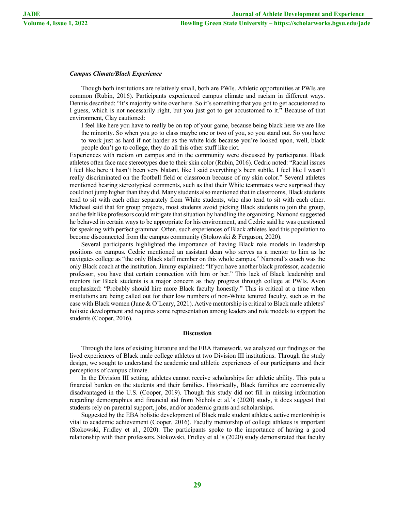# *Campus Climate/Black Experience*

Though both institutions are relatively small, both are PWIs. Athletic opportunities at PWIs are common (Rubin, 2016). Participants experienced campus climate and racism in different ways. Dennis described: "It's majority white over here. So it's something that you got to get accustomed to I guess, which is not necessarily right, but you just got to get accustomed to it." Because of that environment, Clay cautioned:

I feel like here you have to really be on top of your game, because being black here we are like the minority. So when you go to class maybe one or two of you, so you stand out. So you have to work just as hard if not harder as the white kids because you're looked upon, well, black people don't go to college, they do all this other stuff like riot.

Experiences with racism on campus and in the community were discussed by participants. Black athletes often face race stereotypes due to their skin color (Rubin, 2016). Cedric noted: "Racial issues I feel like here it hasn't been very blatant, like I said everything's been subtle. I feel like I wasn't really discriminated on the football field or classroom because of my skin color." Several athletes mentioned hearing stereotypical comments, such as that their White teammates were surprised they could not jump higher than they did. Many students also mentioned that in classrooms, Black students tend to sit with each other separately from White students, who also tend to sit with each other. Michael said that for group projects, most students avoid picking Black students to join the group, and he felt like professors could mitigate that situation by handling the organizing. Namond suggested he behaved in certain ways to be appropriate for his environment, and Cedric said he was questioned for speaking with perfect grammar. Often, such experiences of Black athletes lead this population to become disconnected from the campus community (Stokowski & Ferguson, 2020).

Several participants highlighted the importance of having Black role models in leadership positions on campus. Cedric mentioned an assistant dean who serves as a mentor to him as he navigates college as "the only Black staff member on this whole campus." Namond's coach was the only Black coach at the institution. Jimmy explained: "If you have another black professor, academic professor, you have that certain connection with him or her." This lack of Black leadership and mentors for Black students is a major concern as they progress through college at PWIs. Avon emphasized: "Probably should hire more Black faculty honestly." This is critical at a time when institutions are being called out for their low numbers of non-White tenured faculty, such as in the case with Black women (June & O'Leary, 2021). Active mentorship is critical to Black male athletes' holistic development and requires some representation among leaders and role models to support the students (Cooper, 2016).

#### **Discussion**

Through the lens of existing literature and the EBA framework, we analyzed our findings on the lived experiences of Black male college athletes at two Division III institutions. Through the study design, we sought to understand the academic and athletic experiences of our participants and their perceptions of campus climate.

In the Division III setting, athletes cannot receive scholarships for athletic ability. This puts a financial burden on the students and their families. Historically, Black families are economically disadvantaged in the U.S. (Cooper, 2019). Though this study did not fill in missing information regarding demographics and financial aid from Nichols et al.'s (2020) study, it does suggest that students rely on parental support, jobs, and/or academic grants and scholarships.

Suggested by the EBA holistic development of Black male student athletes, active mentorship is vital to academic achievement (Cooper, 2016). Faculty mentorship of college athletes is important (Stokowski, Fridley et al., 2020). The participants spoke to the importance of having a good relationship with their professors. Stokowski, Fridley et al.'s (2020) study demonstrated that faculty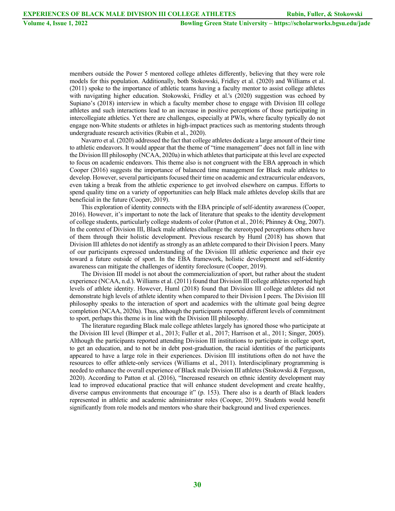members outside the Power 5 mentored college athletes differently, believing that they were role models for this population. Additionally, both Stokowski, Fridley et al. (2020) and Williams et al. (2011) spoke to the importance of athletic teams having a faculty mentor to assist college athletes with navigating higher education. Stokowski, Fridley et al.'s (2020) suggestion was echoed by Supiano's (2018) interview in which a faculty member chose to engage with Division III college athletes and such interactions lead to an increase in positive perceptions of those participating in intercollegiate athletics. Yet there are challenges, especially at PWIs, where faculty typically do not engage non-White students or athletes in high-impact practices such as mentoring students through undergraduate research activities (Rubin et al., 2020).

Navarro et al. (2020) addressed the fact that college athletes dedicate a large amount of their time to athletic endeavors. It would appear that the theme of "time management" does not fall in line with the Division III philosophy (NCAA, 2020a) in which athletes that participate at this level are expected to focus on academic endeavors. This theme also is not congruent with the EBA approach in which Cooper (2016) suggests the importance of balanced time management for Black male athletes to develop. However, several participants focused their time on academic and extracurricular endeavors, even taking a break from the athletic experience to get involved elsewhere on campus. Efforts to spend quality time on a variety of opportunities can help Black male athletes develop skills that are beneficial in the future (Cooper, 2019).

This exploration of identity connects with the EBA principle of self-identity awareness (Cooper, 2016). However, it's important to note the lack of literature that speaks to the identity development of college students, particularly college students of color (Patton et al., 2016; Phinney & Ong, 2007). In the context of Division III, Black male athletes challenge the stereotyped perceptions others have of them through their holistic development. Previous research by Huml (2018) has shown that Division III athletes do not identify as strongly as an athlete compared to their Division I peers. Many of our participants expressed understanding of the Division III athletic experience and their eye toward a future outside of sport. In the EBA framework, holistic development and self-identity awareness can mitigate the challenges of identity foreclosure (Cooper, 2019).

The Division III model is not about the commercialization of sport, but rather about the student experience (NCAA, n.d.). Williams et al. (2011) found that Division III college athletes reported high levels of athlete identity. However, Huml (2018) found that Division III college athletes did not demonstrate high levels of athlete identity when compared to their Division I peers. The Division III philosophy speaks to the interaction of sport and academics with the ultimate goal being degree completion (NCAA, 2020a). Thus, although the participants reported different levels of commitment to sport, perhaps this theme is in line with the Division III philosophy.

The literature regarding Black male college athletes largely has ignored those who participate at the Division III level (Bimper et al., 2013; Fuller et al., 2017; Harrison et al., 2011; Singer, 2005). Although the participants reported attending Division III institutions to participate in college sport, to get an education, and to not be in debt post-graduation, the racial identities of the participants appeared to have a large role in their experiences. Division III institutions often do not have the resources to offer athlete-only services (Williams et al., 2011). Interdisciplinary programming is needed to enhance the overall experience of Black male Division III athletes (Stokowski & Ferguson, 2020). According to Patton et al. (2016), "Increased research on ethnic identity development may lead to improved educational practice that will enhance student development and create healthy, diverse campus environments that encourage it" (p. 153). There also is a dearth of Black leaders represented in athletic and academic administrator roles (Cooper, 2019). Students would benefit significantly from role models and mentors who share their background and lived experiences.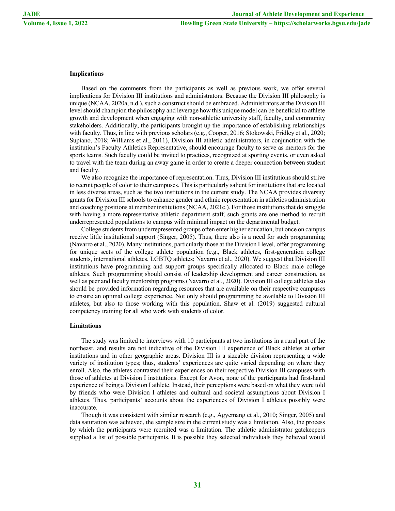# **Implications**

Based on the comments from the participants as well as previous work, we offer several implications for Division III institutions and administrators. Because the Division III philosophy is unique (NCAA, 2020a, n.d.), such a construct should be embraced. Administrators at the Division III level should champion the philosophy and leverage how this unique model can be beneficial to athlete growth and development when engaging with non-athletic university staff, faculty, and community stakeholders. Additionally, the participants brought up the importance of establishing relationships with faculty. Thus, in line with previous scholars (e.g., Cooper, 2016; Stokowski, Fridley et al., 2020; Supiano, 2018; Williams et al., 2011), Division III athletic administrators, in conjunction with the institution's Faculty Athletics Representative, should encourage faculty to serve as mentors for the sports teams. Such faculty could be invited to practices, recognized at sporting events, or even asked to travel with the team during an away game in order to create a deeper connection between student and faculty.

We also recognize the importance of representation. Thus, Division III institutions should strive to recruit people of color to their campuses. This is particularly salient for institutions that are located in less diverse areas, such as the two institutions in the current study. The NCAA provides diversity grants for Division III schools to enhance gender and ethnic representation in athletics administration and coaching positions at member institutions (NCAA, 2021c.). For those institutions that do struggle with having a more representative athletic department staff, such grants are one method to recruit underrepresented populations to campus with minimal impact on the departmental budget.

College students from underrepresented groups often enter higher education, but once on campus receive little institutional support (Singer, 2005). Thus, there also is a need for such programming (Navarro et al., 2020). Many institutions, particularly those at the Division I level, offer programming for unique sects of the college athlete population (e.g., Black athletes, first-generation college students, international athletes, LGBTQ athletes; Navarro et al., 2020). We suggest that Division III institutions have programming and support groups specifically allocated to Black male college athletes. Such programming should consist of leadership development and career construction, as well as peer and faculty mentorship programs (Navarro et al., 2020). Division III college athletes also should be provided information regarding resources that are available on their respective campuses to ensure an optimal college experience. Not only should programming be available to Division III athletes, but also to those working with this population. Shaw et al. (2019) suggested cultural competency training for all who work with students of color.

#### **Limitations**

The study was limited to interviews with 10 participants at two institutions in a rural part of the northeast, and results are not indicative of the Division III experience of Black athletes at other institutions and in other geographic areas. Division III is a sizeable division representing a wide variety of institution types; thus, students' experiences are quite varied depending on where they enroll. Also, the athletes contrasted their experiences on their respective Division III campuses with those of athletes at Division I institutions. Except for Avon, none of the participants had first-hand experience of being a Division I athlete. Instead, their perceptions were based on what they were told by friends who were Division I athletes and cultural and societal assumptions about Division I athletes. Thus, participants' accounts about the experiences of Division I athletes possibly were inaccurate.

Though it was consistent with similar research (e.g., Agyemang et al., 2010; Singer, 2005) and data saturation was achieved, the sample size in the current study was a limitation. Also, the process by which the participants were recruited was a limitation. The athletic administrator gatekeepers supplied a list of possible participants. It is possible they selected individuals they believed would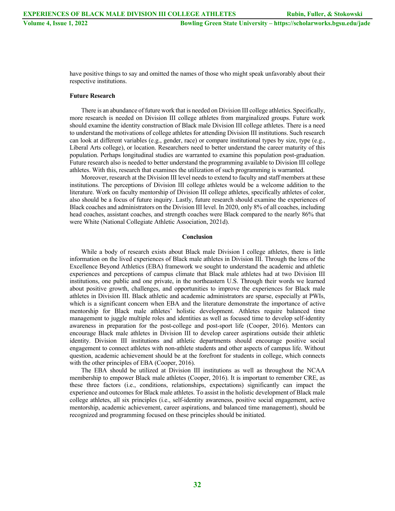have positive things to say and omitted the names of those who might speak unfavorably about their respective institutions.

# **Future Research**

There is an abundance of future work that is needed on Division III college athletics. Specifically, more research is needed on Division III college athletes from marginalized groups. Future work should examine the identity construction of Black male Division III college athletes. There is a need to understand the motivations of college athletes for attending Division III institutions. Such research can look at different variables (e.g., gender, race) or compare institutional types by size, type (e.g., Liberal Arts college), or location. Researchers need to better understand the career maturity of this population. Perhaps longitudinal studies are warranted to examine this population post-graduation. Future research also is needed to better understand the programming available to Division III college athletes. With this, research that examines the utilization of such programming is warranted.

Moreover, research at the Division III level needs to extend to faculty and staff members at these institutions. The perceptions of Division III college athletes would be a welcome addition to the literature. Work on faculty mentorship of Division III college athletes, specifically athletes of color, also should be a focus of future inquiry. Lastly, future research should examine the experiences of Black coaches and administrators on the Division III level. In 2020, only 8% of all coaches, including head coaches, assistant coaches, and strength coaches were Black compared to the nearly 86% that were White (National Collegiate Athletic Association, 2021d).

#### **Conclusion**

While a body of research exists about Black male Division I college athletes, there is little information on the lived experiences of Black male athletes in Division III. Through the lens of the Excellence Beyond Athletics (EBA) framework we sought to understand the academic and athletic experiences and perceptions of campus climate that Black male athletes had at two Division III institutions, one public and one private, in the northeastern U.S. Through their words we learned about positive growth, challenges, and opportunities to improve the experiences for Black male athletes in Division III. Black athletic and academic administrators are sparse, especially at PWIs, which is a significant concern when EBA and the literature demonstrate the importance of active mentorship for Black male athletes' holistic development. Athletes require balanced time management to juggle multiple roles and identities as well as focused time to develop self-identity awareness in preparation for the post-college and post-sport life (Cooper, 2016). Mentors can encourage Black male athletes in Division III to develop career aspirations outside their athletic identity. Division III institutions and athletic departments should encourage positive social engagement to connect athletes with non-athlete students and other aspects of campus life. Without question, academic achievement should be at the forefront for students in college, which connects with the other principles of EBA (Cooper, 2016).

The EBA should be utilized at Division III institutions as well as throughout the NCAA membership to empower Black male athletes (Cooper, 2016). It is important to remember CRE, as these three factors (i.e., conditions, relationships, expectations) significantly can impact the experience and outcomes for Black male athletes. To assist in the holistic development of Black male college athletes, all six principles (i.e., self-identity awareness, positive social engagement, active mentorship, academic achievement, career aspirations, and balanced time management), should be recognized and programming focused on these principles should be initiated.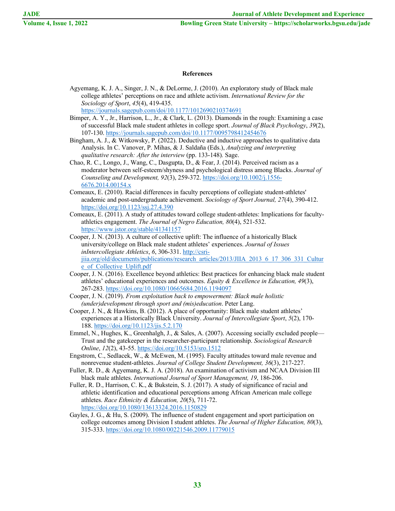# **References**

- Agyemang, K. J. A., Singer, J. N., & DeLorme, J. (2010). An exploratory study of Black male college athletes' perceptions on race and athlete activism. *International Review for the Sociology of Sport*, *45*(4), 419-435. https://journals.sagepub.com/doi/10.1177/1012690210374691
- Bimper, A. Y., Jr., Harrison, L., Jr., & Clark, L. (2013). Diamonds in the rough: Examining a case of successful Black male student athletes in college sport. *Journal of Black Psychology*, *39*(2), 107-130. https://journals.sagepub.com/doi/10.1177/0095798412454676

Bingham, A. J., & Witkowsky, P. (2022). Deductive and inductive approaches to qualitative data Analysis. In C. Vanover, P. Mihas, & J. Saldaña (Eds.), *Analyzing and interpreting qualitative research: After the interview* (pp. 133-148)*.* Sage.

Chao, R. C., Longo, J., Wang, C., Dasgupta, D., & Fear, J. (2014). Perceived racism as a moderator between self-esteem/shyness and psychological distress among Blacks. *Journal of Counseling and Development, 92*(3), 259-372. https://doi.org/10.1002/j.1556- 6676.2014.00154.x

- Comeaux, E. (2010). Racial differences in faculty perceptions of collegiate student-athletes' academic and post-undergraduate achievement. *Sociology of Sport Journal, 27*(4), 390-412. https://doi.org/10.1123/ssj.27.4.390
- Comeaux, E. (2011). A study of attitudes toward college student-athletes: Implications for facultyathletics engagement. *The Journal of Negro Education, 80*(4), 521-532. https://www.jstor.org/stable/41341157
- Cooper, J. N. (2013). A culture of collective uplift: The influence of a historically Black university/college on Black male student athletes' experiences. *Journal of Issues inIntercollegiate Athletics*, *6*, 306-331. http://csrijiia.org/old/documents/publications/research\_articles/2013/JIIA\_2013\_6\_17\_306\_331\_Cultur e\_of\_Collective\_Uplift.pdf
- Cooper, J. N. (2016). Excellence beyond athletics: Best practices for enhancing black male student athletes' educational experiences and outcomes. *Equity & Excellence in Education, 49*(3), 267-283. https://doi.org/10.1080/10665684.2016.1194097
- Cooper, J. N. (2019). *From exploitation back to empowerment: Black male holistic (under)development through sport and (mis)education*. Peter Lang.
- Cooper, J. N., & Hawkins, B. (2012). A place of opportunity: Black male student athletes' experiences at a Historically Black University. *Journal of Intercollegiate Sport*, *5*(2), 170- 188. https://doi.org/10.1123/jis.5.2.170
- Emmel, N., Hughes, K., Greenhalgh, J., & Sales, A. (2007). Accessing socially excluded people— Trust and the gatekeeper in the researcher-participant relationship. *Sociological Research Online*, *12*(2), 43-55. https://doi.org/10.5153/sro.1512
- Engstrom, C., Sedlacek, W., & McEwen, M. (1995). Faculty attitudes toward male revenue and nonrevenue student-athletes. *Journal of College Student Development, 36*(3), 217-227.
- Fuller, R. D., & Agyemang, K. J. A. (2018). An examination of activism and NCAA Division III black male athletes. *International Journal of Sport Management, 19*, 186-206.
- Fuller, R. D., Harrison, C. K., & Bukstein, S. J. (2017). A study of significance of racial and athletic identification and educational perceptions among African American male college athletes. *Race Ethnicity & Education, 20*(5), 711-72. https://doi.org/10.1080/13613324.2016.1150829
- Gayles, J. G., & Hu, S. (2009). The influence of student engagement and sport participation on college outcomes among Division I student athletes. *The Journal of Higher Education, 80*(3), 315-333. https://doi.org/10.1080/00221546.2009.11779015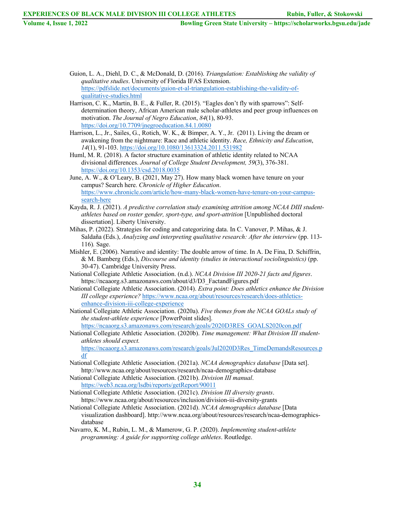- **Volume 4, Issue 1, 2022 Bowling Green State University – https://scholarworks.bgsu.edu/jade**
	- Guion, L. A., Diehl, D. C., & McDonald, D. (2016). *Triangulation: Establishing the validity of qualitative studies*. University of Florida IFAS Extension. https://pdfslide.net/documents/guion-et-al-triangulation-establishing-the-validity-ofqualitative-studies.html
	- Harrison, C. K., Martin, B. E., & Fuller, R. (2015). "Eagles don't fly with sparrows": Selfdetermination theory, African American male scholar-athletes and peer group influences on motivation. *The Journal of Negro Education*, *84*(1), 80-93. https://doi.org/10.7709/jnegroeducation.84.1.0080
	- Harrison, L., Jr., Sailes, G., Rotich, W. K., & Bimper, A. Y., Jr. (2011). Living the dream or awakening from the nightmare: Race and athletic identity. *Race, Ethnicity and Education*, *14*(1), 91-103. https://doi.org/10.1080/13613324.2011.531982
	- Huml, M. R. (2018). A factor structure examination of athletic identity related to NCAA divisional differences. *Journal of College Student Development, 59*(3), 376-381. https://doi.org/10.1353/csd.2018.0035
	- June, A. W., & O'Leary, B. (2021, May 27). How many black women have tenure on your campus? Search here. *Chronicle of Higher Education*. https://www.chronicle.com/article/how-many-black-women-have-tenure-on-your-campussearch-here
	- Kayda, R. J. (2021). *A predictive correlation study examining attrition among NCAA DIII studentathletes based on roster gender, sport-type, and sport-attrition* [Unpublished doctoral dissertation]. Liberty University.
	- Mihas, P. (2022). Strategies for coding and categorizing data. In C. Vanover, P. Mihas, & J. Saldaña (Eds.), *Analyzing and interpreting qualitative research: After the interview* (pp. 113- 116)*.* Sage.
	- Mishler, E. (2006). Narrative and identity: The double arrow of time. In A. De Fina, D. Schiffrin, & M. Bamberg (Eds.), *Discourse and identity (studies in interactional sociolinguistics)* (pp. 30-47). Cambridge University Press.
	- National Collegiate Athletic Association. (n.d.). *NCAA Division III 2020-21 facts and figures*. https://ncaaorg.s3.amazonaws.com/about/d3/D3\_FactandFigures.pdf
	- National Collegiate Athletic Association. (2014). *Extra point: Does athletics enhance the Division III college experience?* https://www.ncaa.org/about/resources/research/does-athleticsenhance-division-iii-college-experience
	- National Collegiate Athletic Association. (2020a). *Five themes from the NCAA GOALs study of the student-athlete experience* [PowerPoint slides].

https://ncaaorg.s3.amazonaws.com/research/goals/2020D3RES\_GOALS2020con.pdf

National Collegiate Athletic Association. (2020b). *Time management: What Division III studentathletes should expect.*

https://ncaaorg.s3.amazonaws.com/research/goals/Jul2020D3Res\_TimeDemandsResources.p df

- National Collegiate Athletic Association. (2021a). *NCAA demographics database* [Data set]. http://www.ncaa.org/about/resources/research/ncaa-demographics-database
- National Collegiate Athletic Association. (2021b). *Division III manual*. https://web3.ncaa.org/lsdbi/reports/getReport/90011
- National Collegiate Athletic Association. (2021c). *Division III diversity grants*. https://www.ncaa.org/about/resources/inclusion/division-iii-diversity-grants
- National Collegiate Athletic Association. (2021d). *NCAA demographics database* [Data visualization dashboard]. http://www.ncaa.org/about/resources/research/ncaa-demographicsdatabase
- Navarro, K. M., Rubin, L. M., & Mamerow, G. P. (2020). *Implementing student-athlete programming: A guide for supporting college athletes*. Routledge.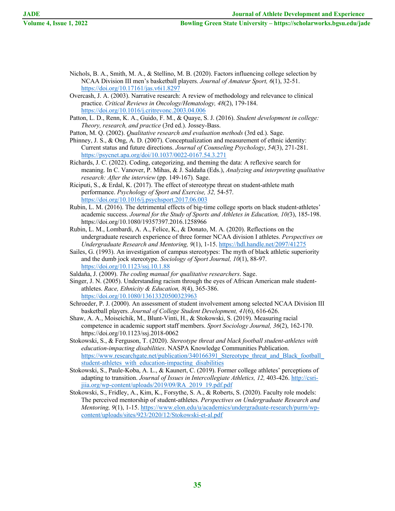- Nichols, B. A., Smith, M. A., & Stellino, M. B. (2020). Factors influencing college selection by NCAA Division III men's basketball players. *Journal of Amateur Sport, 6*(1), 32-51. https://doi.org/10.17161/jas.v6i1.8297
- Overcash, J. A. (2003). Narrative research: A review of methodology and relevance to clinical practice. *Critical Reviews in Oncology/Hematology, 48*(2), 179-184. https://doi.org/10.1016/j.critrevonc.2003.04.006
- Patton, L. D., Renn, K. A., Guido, F. M., & Quaye, S. J. (2016). *Student development in college: Theory, research, and practice* (3rd ed.). Jossey-Bass.
- Patton, M. Q. (2002). *Qualitative research and evaluation methods* (3rd ed.). Sage.
- Phinney, J. S., & Ong, A. D. (2007). Conceptualization and measurement of ethnic identity: Current status and future directions. *Journal of Counseling Psychology*, *54*(3), 271-281. https://psycnet.apa.org/doi/10.1037/0022-0167.54.3.271
- Richards, J. C. (2022). Coding, categorizing, and theming the data: A reflexive search for meaning. In C. Vanover, P. Mihas, & J. Saldaña (Eds.), *Analyzing and interpreting qualitative research: After the interview* (pp. 149-167)*.* Sage.
- Riciputi, S., & Erdal, K. (2017). The effect of stereotype threat on student-athlete math performance. *Psychology of Sport and Exercise, 32,* 54-57. https://doi.org/10.1016/j.psychsport.2017.06.003
- Rubin, L. M. (2016). The detrimental effects of big-time college sports on black student-athletes' academic success. *Journal for the Study of Sports and Athletes in Education, 10(*3), 185-198. https://doi.org/10.1080/19357397.2016.1258966
- Rubin, L. M., Lombardi, A. A., Felice, K., & Donato, M. A. (2020). Reflections on the undergraduate research experience of three former NCAA division I athletes. *Perspectives on Undergraduate Research and Mentoring, 9*(1), 1-15. https://hdl.handle.net/2097/41275
- Sailes, G. (1993). An investigation of campus stereotypes: The myth of black athletic superiority and the dumb jock stereotype. *Sociology of Sport Journal, 10*(1), 88-97. https://doi.org/10.1123/ssj.10.1.88
- Saldaña, J. (2009). *The coding manual for qualitative researchers*. Sage.
- Singer, J. N. (2005). Understanding racism through the eyes of African American male studentathletes. *Race, Ethnicity & Education, 8*(4), 365-386. https://doi.org/10.1080/13613320500323963
- Schroeder, P. J. (2000). An assessment of student involvement among selected NCAA Division III basketball players. *Journal of College Student Development, 41*(6), 616-626.
- Shaw, A. A., Moiseichik, M., Blunt-Vinti, H., & Stokowski, S. (2019). Measuring racial competence in academic support staff members. *Sport Sociology Journal, 36*(2), 162-170. https://doi.org/10.1123/ssj.2018-0062
- Stokowski, S., & Ferguson, T. (2020). *Stereotype threat and black football student-athletes with education-impacting disabilities*. NASPA Knowledge Communities Publication. https://www.researchgate.net/publication/340166391 Stereotype threat and Black football student-athletes with education-impacting disabilities
- Stokowski, S., Paule-Koba, A. L., & Kaunert, C. (2019). Former college athletes' perceptions of adapting to transition. *Journal of Issues in Intercollegiate Athletics, 12,* 403-426. http://csrijiia.org/wp-content/uploads/2019/09/RA\_2019\_19.pdf.pdf
- Stokowski, S., Fridley, A., Kim, K., Forsythe, S. A., & Roberts, S. (2020). Faculty role models: The perceived mentorship of student-athletes. *Perspectives on Undergraduate Research and Mentoring, 9*(1), 1-15. https://www.elon.edu/u/academics/undergraduate-research/purm/wpcontent/uploads/sites/923/2020/12/Stokowski-et-al.pdf